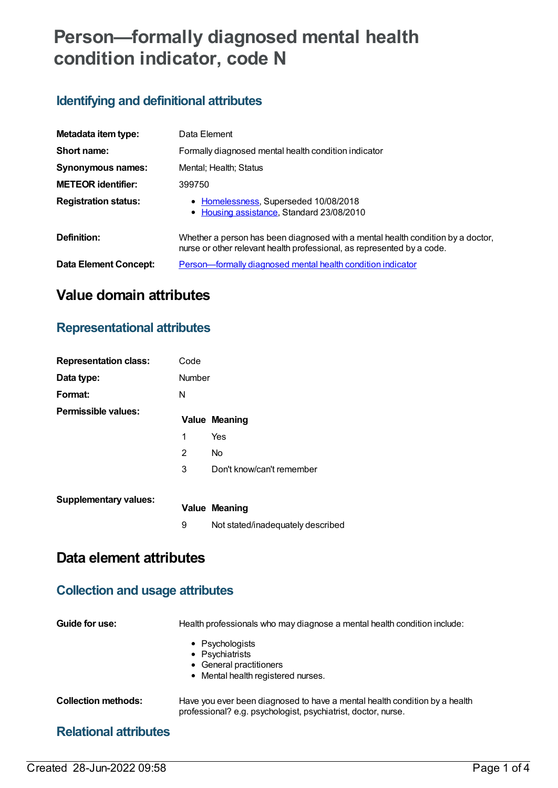# **Person—formally diagnosed mental health condition indicator, code N**

## **Identifying and definitional attributes**

| Metadata item type:          | Data Element                                                                                                                                              |  |  |
|------------------------------|-----------------------------------------------------------------------------------------------------------------------------------------------------------|--|--|
| Short name:                  | Formally diagnosed mental health condition indicator                                                                                                      |  |  |
| Synonymous names:            | Mental: Health: Status                                                                                                                                    |  |  |
| <b>METEOR identifier:</b>    | 399750                                                                                                                                                    |  |  |
| <b>Registration status:</b>  | • Homelessness, Superseded 10/08/2018<br>• Housing assistance, Standard 23/08/2010                                                                        |  |  |
| Definition:                  | Whether a person has been diagnosed with a mental health condition by a doctor,<br>nurse or other relevant health professional, as represented by a code. |  |  |
| <b>Data Element Concept:</b> | Person—formally diagnosed mental health condition indicator                                                                                               |  |  |

## **Value domain attributes**

## **Representational attributes**

| <b>Representation class:</b> | Code          |                                   |
|------------------------------|---------------|-----------------------------------|
| Data type:                   | <b>Number</b> |                                   |
| Format:                      | N             |                                   |
| Permissible values:          |               | <b>Value Meaning</b>              |
|                              | 1             | Yes                               |
|                              | 2             | No                                |
|                              | 3             | Don't know/can't remember         |
| <b>Supplementary values:</b> |               |                                   |
|                              |               | <b>Value Meaning</b>              |
|                              | 9             | Not stated/inadequately described |
| Data element attributes      |               |                                   |

# **Collection and usage attributes**

| Guide for use:               | Health professionals who may diagnose a mental health condition include:                                                                    |
|------------------------------|---------------------------------------------------------------------------------------------------------------------------------------------|
|                              | $\bullet$ Psychologists<br>• Psychiatrists<br>• General practitioners<br>• Mental health registered nurses.                                 |
| <b>Collection methods:</b>   | Have you ever been diagnosed to have a mental health condition by a health<br>professional? e.g. psychologist, psychiatrist, doctor, nurse. |
| <b>Relational attributes</b> |                                                                                                                                             |

### Created 28-Jun-2022 09:58 Page 1 of 4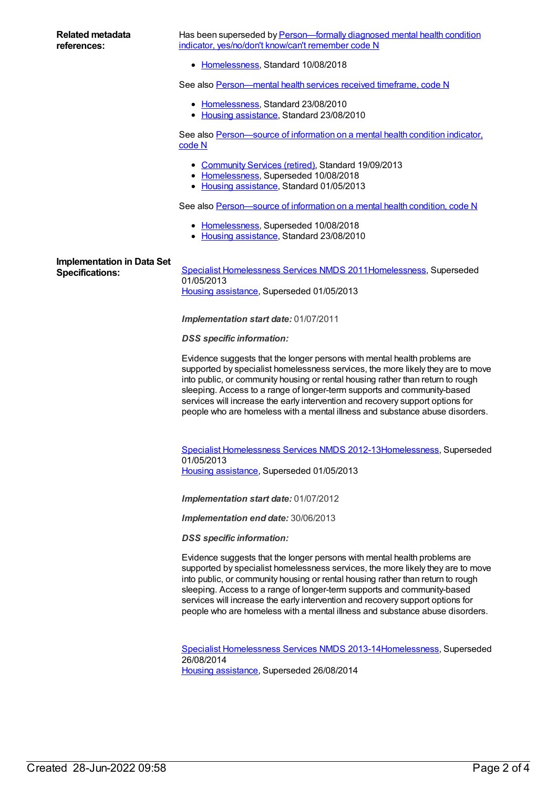Has been superseded by **[Person—formally](https://meteor.aihw.gov.au/content/690509) diagnosed mental health condition** indicator, yes/no/don't know/can't remember code N

• [Homelessness](https://meteor.aihw.gov.au/RegistrationAuthority/14), Standard 10/08/2018

See also [Person—mental](https://meteor.aihw.gov.au/content/400463) health services received timeframe, code N

- [Homelessness](https://meteor.aihw.gov.au/RegistrationAuthority/14), Standard 23/08/2010
- Housing [assistance](https://meteor.aihw.gov.au/RegistrationAuthority/11), Standard 23/08/2010

See also [Person—source](https://meteor.aihw.gov.au/content/508415) of information on a mental health condition indicator, code N

- [Community](https://meteor.aihw.gov.au/RegistrationAuthority/1) Services (retired), Standard 19/09/2013
- [Homelessness](https://meteor.aihw.gov.au/RegistrationAuthority/14), Superseded 10/08/2018
- Housing [assistance](https://meteor.aihw.gov.au/RegistrationAuthority/11), Standard 01/05/2013

See also Person-source of information on a mental health condition, code N

- [Homelessness](https://meteor.aihw.gov.au/RegistrationAuthority/14), Superseded 10/08/2018
- Housing [assistance](https://meteor.aihw.gov.au/RegistrationAuthority/11), Standard 23/08/2010

## **Implementation in Data Set**

**Specifications:** Specialist [Homelessness](https://meteor.aihw.gov.au/content/398238) Services NMDS 201[1Homelessness](https://meteor.aihw.gov.au/RegistrationAuthority/14), Superseded 01/05/2013 Housing [assistance](https://meteor.aihw.gov.au/RegistrationAuthority/11), Superseded 01/05/2013

*Implementation start date:* 01/07/2011

*DSS specific information:*

Evidence suggests that the longer persons with mental health problems are supported by specialist homelessness services, the more likely they are to move into public, or community housing or rental housing rather than return to rough sleeping. Access to a range of longer-term supports and community-based services will increase the early intervention and recovery support options for people who are homeless with a mental illness and substance abuse disorders.

Specialist [Homelessness](https://meteor.aihw.gov.au/content/508954) Services NMDS 2012-1[3Homelessness](https://meteor.aihw.gov.au/RegistrationAuthority/14), Superseded 01/05/2013 Housing [assistance](https://meteor.aihw.gov.au/RegistrationAuthority/11), Superseded 01/05/2013

*Implementation start date:* 01/07/2012

*Implementation end date:* 30/06/2013

*DSS specific information:*

Evidence suggests that the longer persons with mental health problems are supported by specialist homelessness services, the more likely they are to move into public, or community housing or rental housing rather than return to rough sleeping. Access to a range of longer-term supports and community-based services will increase the early intervention and recovery support options for people who are homeless with a mental illness and substance abuse disorders.

Specialist [Homelessness](https://meteor.aihw.gov.au/content/505626) Services NMDS 2013-1[4Homelessness](https://meteor.aihw.gov.au/RegistrationAuthority/14), Superseded 26/08/2014 Housing [assistance](https://meteor.aihw.gov.au/RegistrationAuthority/11), Superseded 26/08/2014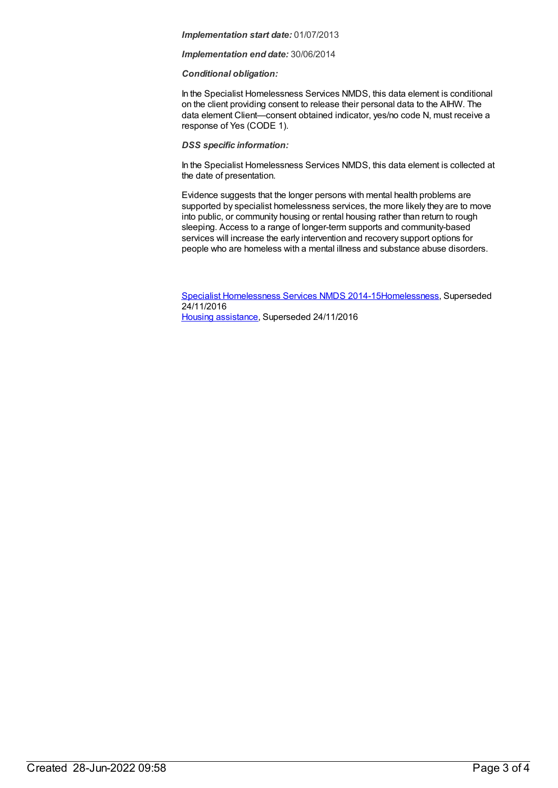#### *Implementation start date:* 01/07/2013

#### *Implementation end date:* 30/06/2014

#### *Conditional obligation:*

In the Specialist Homelessness Services NMDS, this data element is conditional on the client providing consent to release their personal data to the AIHW. The data element Client—consent obtained indicator, yes/no code N, must receive a response of Yes (CODE 1).

#### *DSS specific information:*

In the Specialist Homelessness Services NMDS, this data element is collected at the date of presentation.

Evidence suggests that the longer persons with mental health problems are supported by specialist homelessness services, the more likely they are to move into public, or community housing or rental housing rather than return to rough sleeping. Access to a range of longer-term supports and community-based services will increase the early intervention and recovery support options for people who are homeless with a mental illness and substance abuse disorders.

Specialist [Homelessness](https://meteor.aihw.gov.au/content/581255) Services NMDS 2014-1[5Homelessness](https://meteor.aihw.gov.au/RegistrationAuthority/14), Superseded 24/11/2016 Housing [assistance](https://meteor.aihw.gov.au/RegistrationAuthority/11), Superseded 24/11/2016